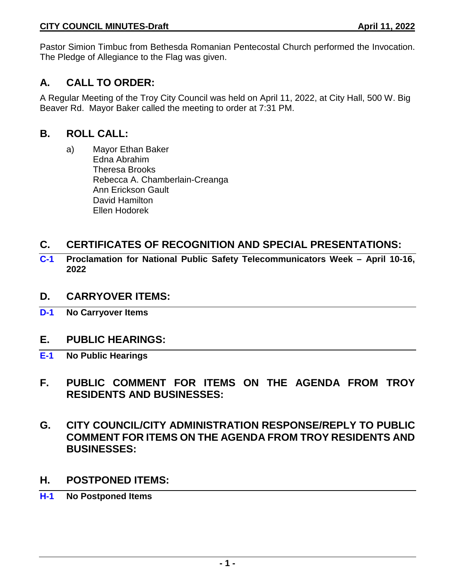Pastor Simion Timbuc from Bethesda Romanian Pentecostal Church performed the Invocation. The Pledge of Allegiance to the Flag was given.

# **A. CALL TO ORDER:**

A Regular Meeting of the Troy City Council was held on April 11, 2022, at City Hall, 500 W. Big Beaver Rd. Mayor Baker called the meeting to order at 7:31 PM.

## **B. ROLL CALL:**

a) Mayor Ethan Baker Edna Abrahim Theresa Brooks Rebecca A. Chamberlain-Creanga Ann Erickson Gault David Hamilton Ellen Hodorek

# **C. CERTIFICATES OF RECOGNITION AND SPECIAL PRESENTATIONS:**

**C-1 Proclamation for National Public Safety Telecommunicators Week – April 10-16, 2022**

## **D. CARRYOVER ITEMS:**

**D-1 No Carryover Items**

## **E. PUBLIC HEARINGS:**

- **E-1 No Public Hearings**
- **F. PUBLIC COMMENT FOR ITEMS ON THE AGENDA FROM TROY RESIDENTS AND BUSINESSES:**
- **G. CITY COUNCIL/CITY ADMINISTRATION RESPONSE/REPLY TO PUBLIC COMMENT FOR ITEMS ON THE AGENDA FROM TROY RESIDENTS AND BUSINESSES:**
- **H. POSTPONED ITEMS:**
- **H-1 No Postponed Items**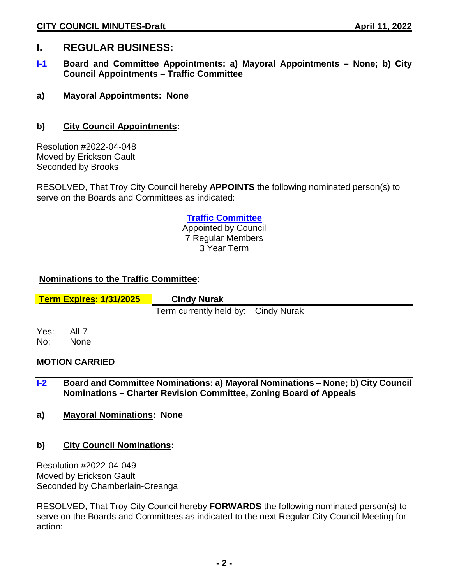## **I. REGULAR BUSINESS:**

- **I-1 Board and Committee Appointments: a) Mayoral Appointments – None; b) City Council Appointments – Traffic Committee**
- **a) Mayoral Appointments: None**
- **b) City Council Appointments:**

Resolution #2022-04-048 Moved by Erickson Gault Seconded by Brooks

RESOLVED, That Troy City Council hereby **APPOINTS** the following nominated person(s) to serve on the Boards and Committees as indicated:

### **Traffic Committee**

Appointed by Council 7 Regular Members 3 Year Term

### **Nominations to the Traffic Committee**:

**Term Expires: 1/31/2025 Cindy Nurak**

Term currently held by: Cindy Nurak

Yes: All-7 No: None

#### **MOTION CARRIED**

- **I-2 Board and Committee Nominations: a) Mayoral Nominations – None; b) City Council Nominations – Charter Revision Committee, Zoning Board of Appeals**
- **a) Mayoral Nominations: None**
- **b) City Council Nominations:**

Resolution #2022-04-049 Moved by Erickson Gault Seconded by Chamberlain-Creanga

RESOLVED, That Troy City Council hereby **FORWARDS** the following nominated person(s) to serve on the Boards and Committees as indicated to the next Regular City Council Meeting for action: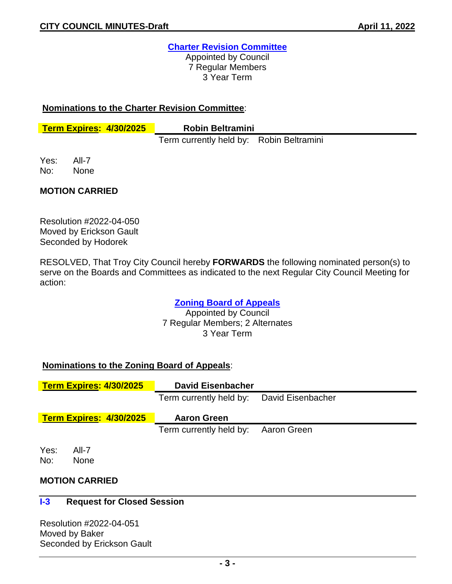## **Charter Revision Committee**

Appointed by Council 7 Regular Members 3 Year Term

#### **Nominations to the Charter Revision Committee**:

**Term Expires: 4/30/2025 Robin Beltramini**

Term currently held by: Robin Beltramini

Yes: All-7 No: None

### **MOTION CARRIED**

Resolution #2022-04-050 Moved by Erickson Gault Seconded by Hodorek

RESOLVED, That Troy City Council hereby **FORWARDS** the following nominated person(s) to serve on the Boards and Committees as indicated to the next Regular City Council Meeting for action:

## **Zoning Board of Appeals**

Appointed by Council 7 Regular Members; 2 Alternates 3 Year Term

## **Nominations to the Zoning Board of Appeals**:

|                                | <b>Term Expires: 4/30/2025</b> | <b>David Eisenbacher</b>                  |             |  |
|--------------------------------|--------------------------------|-------------------------------------------|-------------|--|
|                                |                                | Term currently held by: David Eisenbacher |             |  |
| <b>Term Expires: 4/30/2025</b> |                                | <b>Aaron Green</b>                        |             |  |
|                                |                                | Term currently held by:                   | Aaron Green |  |
| Yes:<br>No:                    | All-7<br><b>None</b>           |                                           |             |  |

## **MOTION CARRIED**

#### **I-3 Request for Closed Session**

Resolution #2022-04-051 Moved by Baker Seconded by Erickson Gault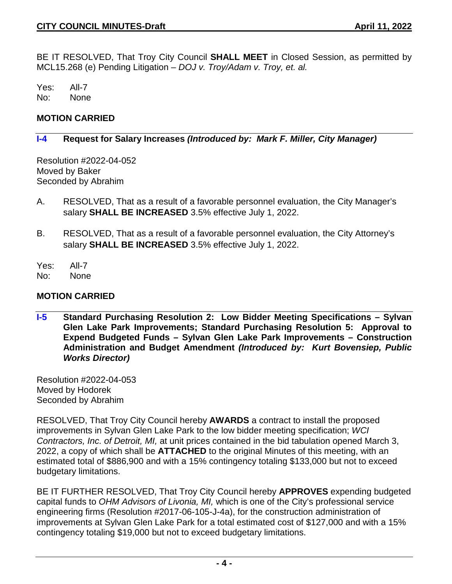BE IT RESOLVED, That Troy City Council **SHALL MEET** in Closed Session, as permitted by MCL15.268 (e) Pending Litigation – *DOJ v. Troy/Adam v. Troy, et. al.*

Yes: All-7 No: None

#### **MOTION CARRIED**

#### **I-4 Request for Salary Increases** *(Introduced by: Mark F. Miller, City Manager)*

Resolution #2022-04-052 Moved by Baker Seconded by Abrahim

- A. RESOLVED, That as a result of a favorable personnel evaluation, the City Manager's salary **SHALL BE INCREASED** 3.5% effective July 1, 2022.
- B. RESOLVED, That as a result of a favorable personnel evaluation, the City Attorney's salary **SHALL BE INCREASED** 3.5% effective July 1, 2022.
- Yes: All-7
- No: None

### **MOTION CARRIED**

**I-5 Standard Purchasing Resolution 2: Low Bidder Meeting Specifications – Sylvan Glen Lake Park Improvements; Standard Purchasing Resolution 5: Approval to Expend Budgeted Funds – Sylvan Glen Lake Park Improvements – Construction Administration and Budget Amendment** *(Introduced by: Kurt Bovensiep, Public Works Director)*

Resolution #2022-04-053 Moved by Hodorek Seconded by Abrahim

RESOLVED, That Troy City Council hereby **AWARDS** a contract to install the proposed improvements in Sylvan Glen Lake Park to the low bidder meeting specification; *WCI Contractors, Inc. of Detroit, MI,* at unit prices contained in the bid tabulation opened March 3, 2022, a copy of which shall be **ATTACHED** to the original Minutes of this meeting, with an estimated total of \$886,900 and with a 15% contingency totaling \$133,000 but not to exceed budgetary limitations.

BE IT FURTHER RESOLVED, That Troy City Council hereby **APPROVES** expending budgeted capital funds to *OHM Advisors of Livonia, MI,* which is one of the City's professional service engineering firms (Resolution #2017-06-105-J-4a), for the construction administration of improvements at Sylvan Glen Lake Park for a total estimated cost of \$127,000 and with a 15% contingency totaling \$19,000 but not to exceed budgetary limitations.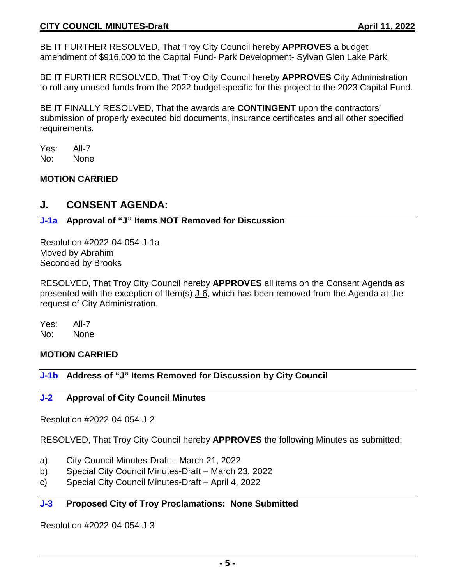BE IT FURTHER RESOLVED, That Troy City Council hereby **APPROVES** a budget amendment of \$916,000 to the Capital Fund- Park Development- Sylvan Glen Lake Park.

BE IT FURTHER RESOLVED, That Troy City Council hereby **APPROVES** City Administration to roll any unused funds from the 2022 budget specific for this project to the 2023 Capital Fund.

BE IT FINALLY RESOLVED, That the awards are **CONTINGENT** upon the contractors' submission of properly executed bid documents, insurance certificates and all other specified requirements.

Yes: All-7 No: None

### **MOTION CARRIED**

## **J. CONSENT AGENDA:**

### **J-1a Approval of "J" Items NOT Removed for Discussion**

Resolution #2022-04-054-J-1a Moved by Abrahim Seconded by Brooks

RESOLVED, That Troy City Council hereby **APPROVES** all items on the Consent Agenda as presented with the exception of Item(s) J-6, which has been removed from the Agenda at the request of City Administration.

Yes: All-7 No: None

## **MOTION CARRIED**

## **J-1b Address of "J" Items Removed for Discussion by City Council**

#### **J-2 Approval of City Council Minutes**

Resolution #2022-04-054-J-2

RESOLVED, That Troy City Council hereby **APPROVES** the following Minutes as submitted:

- a) City Council Minutes-Draft March 21, 2022
- b) Special City Council Minutes-Draft March 23, 2022
- c) Special City Council Minutes-Draft April 4, 2022

## **J-3 Proposed City of Troy Proclamations: None Submitted**

Resolution #2022-04-054-J-3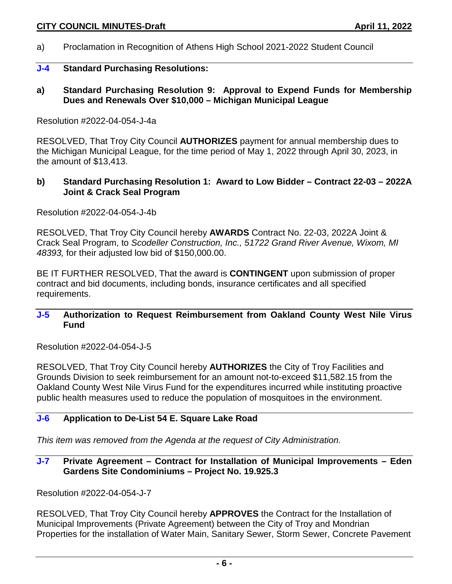a) Proclamation in Recognition of Athens High School 2021-2022 Student Council

#### **J-4 Standard Purchasing Resolutions:**

**a) Standard Purchasing Resolution 9: Approval to Expend Funds for Membership Dues and Renewals Over \$10,000 – Michigan Municipal League**

#### Resolution #2022-04-054-J-4a

RESOLVED, That Troy City Council **AUTHORIZES** payment for annual membership dues to the Michigan Municipal League, for the time period of May 1, 2022 through April 30, 2023, in the amount of \$13,413.

#### **b) Standard Purchasing Resolution 1: Award to Low Bidder – Contract 22-03 – 2022A Joint & Crack Seal Program**

Resolution #2022-04-054-J-4b

RESOLVED, That Troy City Council hereby **AWARDS** Contract No. 22-03, 2022A Joint & Crack Seal Program, to *Scodeller Construction, Inc., 51722 Grand River Avenue, Wixom, MI 48393,* for their adjusted low bid of \$150,000.00.

BE IT FURTHER RESOLVED, That the award is **CONTINGENT** upon submission of proper contract and bid documents, including bonds, insurance certificates and all specified requirements.

#### **J-5 Authorization to Request Reimbursement from Oakland County West Nile Virus Fund**

Resolution #2022-04-054-J-5

RESOLVED, That Troy City Council hereby **AUTHORIZES** the City of Troy Facilities and Grounds Division to seek reimbursement for an amount not-to-exceed \$11,582.15 from the Oakland County West Nile Virus Fund for the expenditures incurred while instituting proactive public health measures used to reduce the population of mosquitoes in the environment.

## **J-6 Application to De-List 54 E. Square Lake Road**

*This item was removed from the Agenda at the request of City Administration.*

#### **J-7 Private Agreement – Contract for Installation of Municipal Improvements – Eden Gardens Site Condominiums – Project No. 19.925.3**

Resolution #2022-04-054-J-7

RESOLVED, That Troy City Council hereby **APPROVES** the Contract for the Installation of Municipal Improvements (Private Agreement) between the City of Troy and Mondrian Properties for the installation of Water Main, Sanitary Sewer, Storm Sewer, Concrete Pavement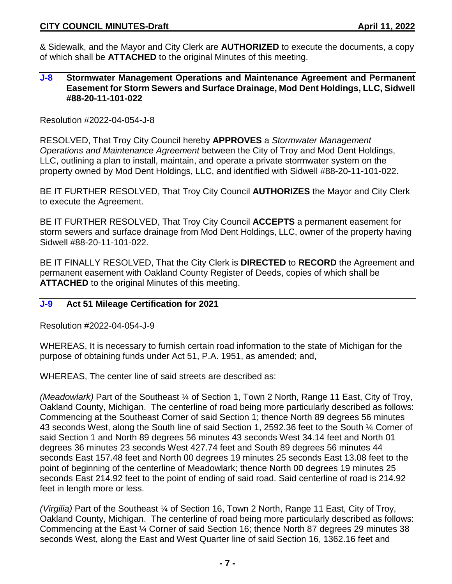& Sidewalk, and the Mayor and City Clerk are **AUTHORIZED** to execute the documents, a copy of which shall be **ATTACHED** to the original Minutes of this meeting.

#### **J-8 Stormwater Management Operations and Maintenance Agreement and Permanent Easement for Storm Sewers and Surface Drainage, Mod Dent Holdings, LLC, Sidwell #88-20-11-101-022**

Resolution #2022-04-054-J-8

RESOLVED, That Troy City Council hereby **APPROVES** a *Stormwater Management Operations and Maintenance Agreement* between the City of Troy and Mod Dent Holdings, LLC, outlining a plan to install, maintain, and operate a private stormwater system on the property owned by Mod Dent Holdings, LLC, and identified with Sidwell #88-20-11-101-022.

BE IT FURTHER RESOLVED, That Troy City Council **AUTHORIZES** the Mayor and City Clerk to execute the Agreement.

BE IT FURTHER RESOLVED, That Troy City Council **ACCEPTS** a permanent easement for storm sewers and surface drainage from Mod Dent Holdings, LLC, owner of the property having Sidwell #88-20-11-101-022.

BE IT FINALLY RESOLVED, That the City Clerk is **DIRECTED** to **RECORD** the Agreement and permanent easement with Oakland County Register of Deeds, copies of which shall be **ATTACHED** to the original Minutes of this meeting.

#### **J-9 Act 51 Mileage Certification for 2021**

Resolution #2022-04-054-J-9

WHEREAS, It is necessary to furnish certain road information to the state of Michigan for the purpose of obtaining funds under Act 51, P.A. 1951, as amended; and,

WHEREAS, The center line of said streets are described as:

*(Meadowlark)* Part of the Southeast ¼ of Section 1, Town 2 North, Range 11 East, City of Troy, Oakland County, Michigan. The centerline of road being more particularly described as follows: Commencing at the Southeast Corner of said Section 1; thence North 89 degrees 56 minutes 43 seconds West, along the South line of said Section 1, 2592.36 feet to the South ¼ Corner of said Section 1 and North 89 degrees 56 minutes 43 seconds West 34.14 feet and North 01 degrees 36 minutes 23 seconds West 427.74 feet and South 89 degrees 56 minutes 44 seconds East 157.48 feet and North 00 degrees 19 minutes 25 seconds East 13.08 feet to the point of beginning of the centerline of Meadowlark; thence North 00 degrees 19 minutes 25 seconds East 214.92 feet to the point of ending of said road. Said centerline of road is 214.92 feet in length more or less.

*(Virgilia)* Part of the Southeast ¼ of Section 16, Town 2 North, Range 11 East, City of Troy, Oakland County, Michigan. The centerline of road being more particularly described as follows: Commencing at the East ¼ Corner of said Section 16; thence North 87 degrees 29 minutes 38 seconds West, along the East and West Quarter line of said Section 16, 1362.16 feet and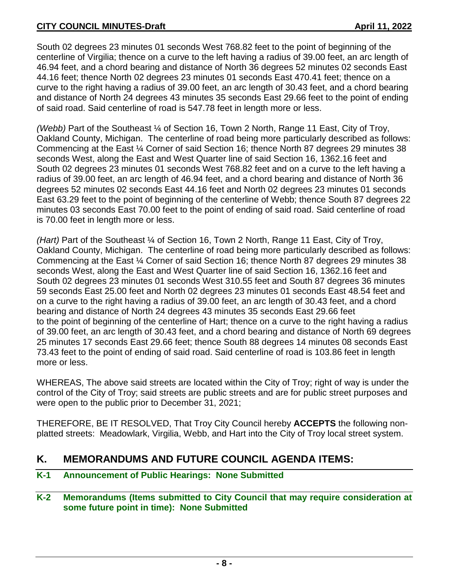South 02 degrees 23 minutes 01 seconds West 768.82 feet to the point of beginning of the centerline of Virgilia; thence on a curve to the left having a radius of 39.00 feet, an arc length of 46.94 feet, and a chord bearing and distance of North 36 degrees 52 minutes 02 seconds East 44.16 feet; thence North 02 degrees 23 minutes 01 seconds East 470.41 feet; thence on a curve to the right having a radius of 39.00 feet, an arc length of 30.43 feet, and a chord bearing and distance of North 24 degrees 43 minutes 35 seconds East 29.66 feet to the point of ending of said road. Said centerline of road is 547.78 feet in length more or less.

*(Webb)* Part of the Southeast ¼ of Section 16, Town 2 North, Range 11 East, City of Troy, Oakland County, Michigan. The centerline of road being more particularly described as follows: Commencing at the East ¼ Corner of said Section 16; thence North 87 degrees 29 minutes 38 seconds West, along the East and West Quarter line of said Section 16, 1362.16 feet and South 02 degrees 23 minutes 01 seconds West 768.82 feet and on a curve to the left having a radius of 39.00 feet, an arc length of 46.94 feet, and a chord bearing and distance of North 36 degrees 52 minutes 02 seconds East 44.16 feet and North 02 degrees 23 minutes 01 seconds East 63.29 feet to the point of beginning of the centerline of Webb; thence South 87 degrees 22 minutes 03 seconds East 70.00 feet to the point of ending of said road. Said centerline of road is 70.00 feet in length more or less.

*(Hart)* Part of the Southeast ¼ of Section 16, Town 2 North, Range 11 East, City of Troy, Oakland County, Michigan. The centerline of road being more particularly described as follows: Commencing at the East ¼ Corner of said Section 16; thence North 87 degrees 29 minutes 38 seconds West, along the East and West Quarter line of said Section 16, 1362.16 feet and South 02 degrees 23 minutes 01 seconds West 310.55 feet and South 87 degrees 36 minutes 59 seconds East 25.00 feet and North 02 degrees 23 minutes 01 seconds East 48.54 feet and on a curve to the right having a radius of 39.00 feet, an arc length of 30.43 feet, and a chord bearing and distance of North 24 degrees 43 minutes 35 seconds East 29.66 feet to the point of beginning of the centerline of Hart; thence on a curve to the right having a radius of 39.00 feet, an arc length of 30.43 feet, and a chord bearing and distance of North 69 degrees 25 minutes 17 seconds East 29.66 feet; thence South 88 degrees 14 minutes 08 seconds East 73.43 feet to the point of ending of said road. Said centerline of road is 103.86 feet in length more or less.

WHEREAS, The above said streets are located within the City of Troy; right of way is under the control of the City of Troy; said streets are public streets and are for public street purposes and were open to the public prior to December 31, 2021;

THEREFORE, BE IT RESOLVED, That Troy City Council hereby **ACCEPTS** the following nonplatted streets: Meadowlark, Virgilia, Webb, and Hart into the City of Troy local street system.

# **K. MEMORANDUMS AND FUTURE COUNCIL AGENDA ITEMS:**

**K-1 Announcement of Public Hearings: None Submitted**

## **K-2 Memorandums (Items submitted to City Council that may require consideration at some future point in time): None Submitted**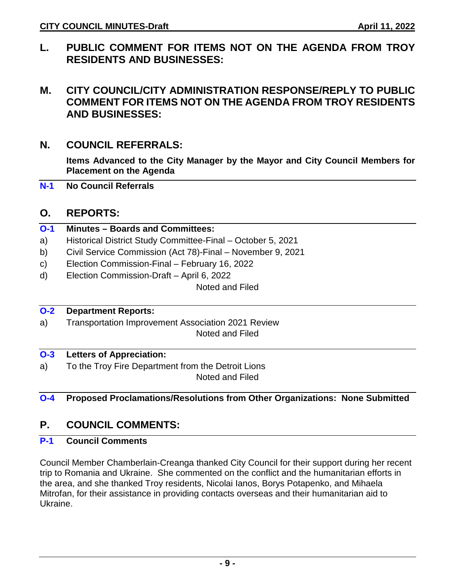**L. PUBLIC COMMENT FOR ITEMS NOT ON THE AGENDA FROM TROY RESIDENTS AND BUSINESSES:** 

## **M. CITY COUNCIL/CITY ADMINISTRATION RESPONSE/REPLY TO PUBLIC COMMENT FOR ITEMS NOT ON THE AGENDA FROM TROY RESIDENTS AND BUSINESSES:**

## **N. COUNCIL REFERRALS:**

**Items Advanced to the City Manager by the Mayor and City Council Members for Placement on the Agenda**

**N-1 No Council Referrals**

## **O. REPORTS:**

### **O-1 Minutes – Boards and Committees:**

- a) Historical District Study Committee-Final October 5, 2021
- b) Civil Service Commission (Act 78)-Final November 9, 2021
- c) Election Commission-Final February 16, 2022
- d) Election Commission-Draft April 6, 2022

Noted and Filed

## **O-2 Department Reports:**

a) Transportation Improvement Association 2021 Review Noted and Filed

#### **O-3 Letters of Appreciation:**

a) To the Troy Fire Department from the Detroit Lions Noted and Filed

## **O-4 Proposed Proclamations/Resolutions from Other Organizations: None Submitted**

# **P. COUNCIL COMMENTS:**

## **P-1 Council Comments**

Council Member Chamberlain-Creanga thanked City Council for their support during her recent trip to Romania and Ukraine. She commented on the conflict and the humanitarian efforts in the area, and she thanked Troy residents, Nicolai Ianos, Borys Potapenko, and Mihaela Mitrofan, for their assistance in providing contacts overseas and their humanitarian aid to Ukraine.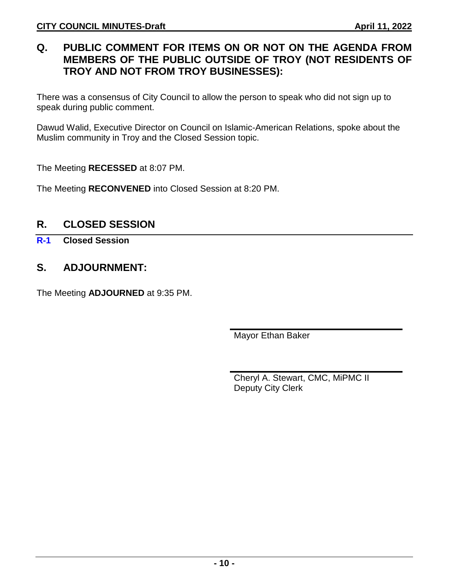# **Q. PUBLIC COMMENT FOR ITEMS ON OR NOT ON THE AGENDA FROM MEMBERS OF THE PUBLIC OUTSIDE OF TROY (NOT RESIDENTS OF TROY AND NOT FROM TROY BUSINESSES):**

There was a consensus of City Council to allow the person to speak who did not sign up to speak during public comment.

Dawud Walid, Executive Director on Council on Islamic-American Relations, spoke about the Muslim community in Troy and the Closed Session topic.

The Meeting **RECESSED** at 8:07 PM.

The Meeting **RECONVENED** into Closed Session at 8:20 PM.

# **R. CLOSED SESSION**

**R-1 Closed Session**

# **S. ADJOURNMENT:**

The Meeting **ADJOURNED** at 9:35 PM.

Mayor Ethan Baker

Cheryl A. Stewart, CMC, MiPMC II Deputy City Clerk